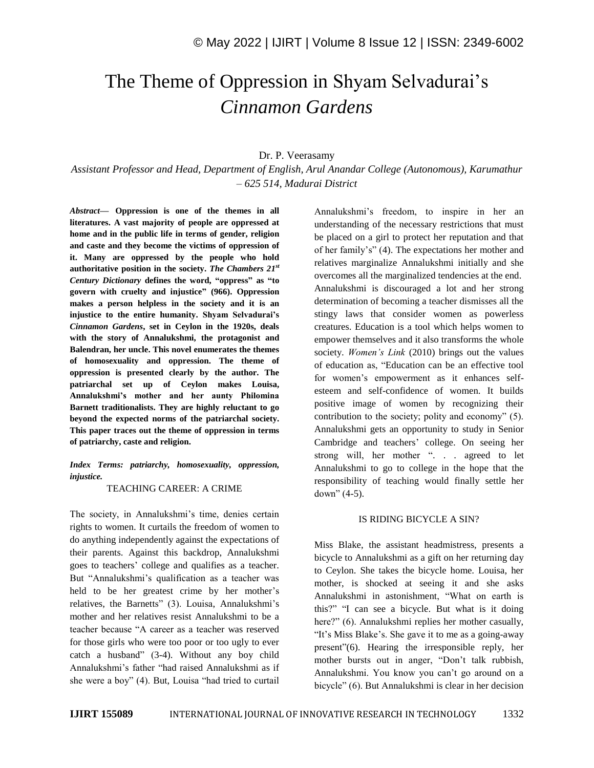# The Theme of Oppression in Shyam Selvadurai's *Cinnamon Gardens*

## Dr. P. Veerasamy

*Assistant Professor and Head, Department of English, Arul Anandar College (Autonomous), Karumathur – 625 514, Madurai District*

*Abstract—* **Oppression is one of the themes in all literatures. A vast majority of people are oppressed at home and in the public life in terms of gender, religion and caste and they become the victims of oppression of it. Many are oppressed by the people who hold authoritative position in the society.** *The Chambers 21st Century Dictionary* **defines the word, "oppress" as "to govern with cruelty and injustice" (966). Oppression makes a person helpless in the society and it is an injustice to the entire humanity. Shyam Selvadurai's**  *Cinnamon Gardens***, set in Ceylon in the 1920s, deals with the story of Annalukshmi, the protagonist and Balendran, her uncle. This novel enumerates the themes of homosexuality and oppression. The theme of oppression is presented clearly by the author. The patriarchal set up of Ceylon makes Louisa, Annalukshmi's mother and her aunty Philomina Barnett traditionalists. They are highly reluctant to go beyond the expected norms of the patriarchal society. This paper traces out the theme of oppression in terms of patriarchy, caste and religion.** 

## *Index Terms: patriarchy, homosexuality, oppression, injustice.*

#### TEACHING CAREER: A CRIME

The society, in Annalukshmi's time, denies certain rights to women. It curtails the freedom of women to do anything independently against the expectations of their parents. Against this backdrop, Annalukshmi goes to teachers' college and qualifies as a teacher. But "Annalukshmi's qualification as a teacher was held to be her greatest crime by her mother's relatives, the Barnetts" (3). Louisa, Annalukshmi's mother and her relatives resist Annalukshmi to be a teacher because "A career as a teacher was reserved for those girls who were too poor or too ugly to ever catch a husband" (3-4). Without any boy child Annalukshmi's father "had raised Annalukshmi as if she were a boy" (4). But, Louisa "had tried to curtail

Annalukshmi's freedom, to inspire in her an understanding of the necessary restrictions that must be placed on a girl to protect her reputation and that of her family's" (4). The expectations her mother and relatives marginalize Annalukshmi initially and she overcomes all the marginalized tendencies at the end. Annalukshmi is discouraged a lot and her strong determination of becoming a teacher dismisses all the stingy laws that consider women as powerless creatures. Education is a tool which helps women to empower themselves and it also transforms the whole society. *Women's Link* (2010) brings out the values of education as, "Education can be an effective tool for women's empowerment as it enhances selfesteem and self-confidence of women. It builds positive image of women by recognizing their contribution to the society; polity and economy" (5). Annalukshmi gets an opportunity to study in Senior Cambridge and teachers' college. On seeing her strong will, her mother ". . . agreed to let Annalukshmi to go to college in the hope that the responsibility of teaching would finally settle her down" (4-5).

#### IS RIDING BICYCLE A SIN?

Miss Blake, the assistant headmistress, presents a bicycle to Annalukshmi as a gift on her returning day to Ceylon. She takes the bicycle home. Louisa, her mother, is shocked at seeing it and she asks Annalukshmi in astonishment, "What on earth is this?" "I can see a bicycle. But what is it doing here?" (6). Annalukshmi replies her mother casually, "It's Miss Blake's. She gave it to me as a going-away present"(6). Hearing the irresponsible reply, her mother bursts out in anger, "Don't talk rubbish, Annalukshmi. You know you can't go around on a bicycle" (6). But Annalukshmi is clear in her decision